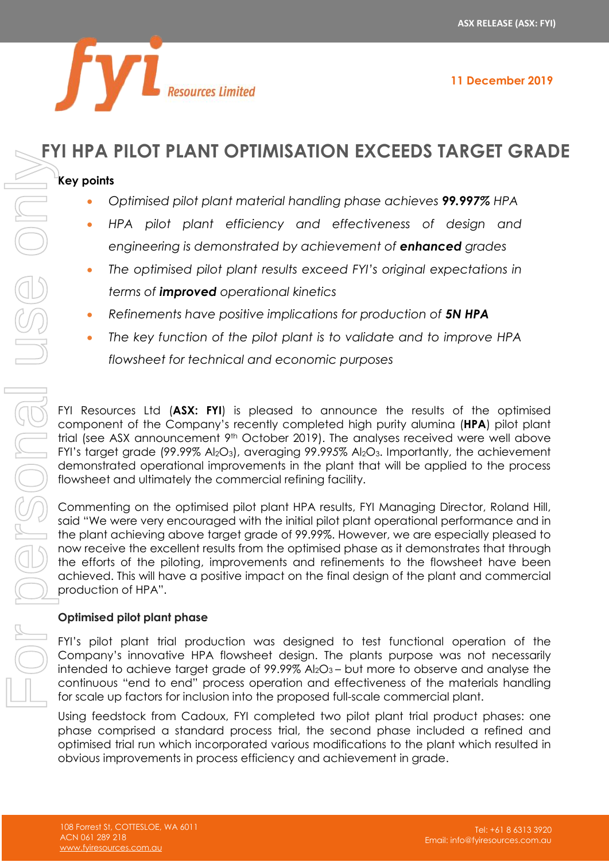

# **FYI HPA PILOT PLANT OPTIMISATION EXCEEDS TARGET GRADE**

## **Key points**

- *Optimised pilot plant material handling phase achieves 99.997% HPA*
- *HPA pilot plant efficiency and effectiveness of design and engineering is demonstrated by achievement of enhanced grades*
- *The optimised pilot plant results exceed FYI's original expectations in terms of improved operational kinetics*
- *Refinements have positive implications for production of 5N HPA*
- *The key function of the pilot plant is to validate and to improve HPA flowsheet for technical and economic purposes*

FYI Resources Ltd (**ASX: FYI**) is pleased to announce the results of the optimised component of the Company's recently completed high purity alumina (**HPA**) pilot plant trial (see ASX announcement 9<sup>th</sup> October 2019). The analyses received were well above FYI's target grade (99.99% Al2O3), averaging 99.99*5*% Al2O3. Importantly, the achievement demonstrated operational improvements in the plant that will be applied to the process flowsheet and ultimately the commercial refining facility.

Commenting on the optimised pilot plant HPA results, FYI Managing Director, Roland Hill, said "We were very encouraged with the initial pilot plant operational performance and in the plant achieving above target grade of 99.99%. However, we are especially pleased to now receive the excellent results from the optimised phase as it demonstrates that through the efforts of the piloting, improvements and refinements to the flowsheet have been achieved. This will have a positive impact on the final design of the plant and commercial production of HPA". **Figure 1997 and the Constrained School According to the system of the properties of the properties of the properties of the properties of the properties of the properties of the properties of the properties of the propert** 

## **Optimised pilot plant phase**

FYI's pilot plant trial production was designed to test functional operation of the Company's innovative HPA flowsheet design. The plants purpose was not necessarily intended to achieve target grade of  $99.99\%$  Al<sub>2</sub>O<sub>3</sub> – but more to observe and analyse the continuous "end to end" process operation and effectiveness of the materials handling for scale up factors for inclusion into the proposed full-scale commercial plant.

Using feedstock from Cadoux, FYI completed two pilot plant trial product phases: one phase comprised a standard process trial, the second phase included a refined and optimised trial run which incorporated various modifications to the plant which resulted in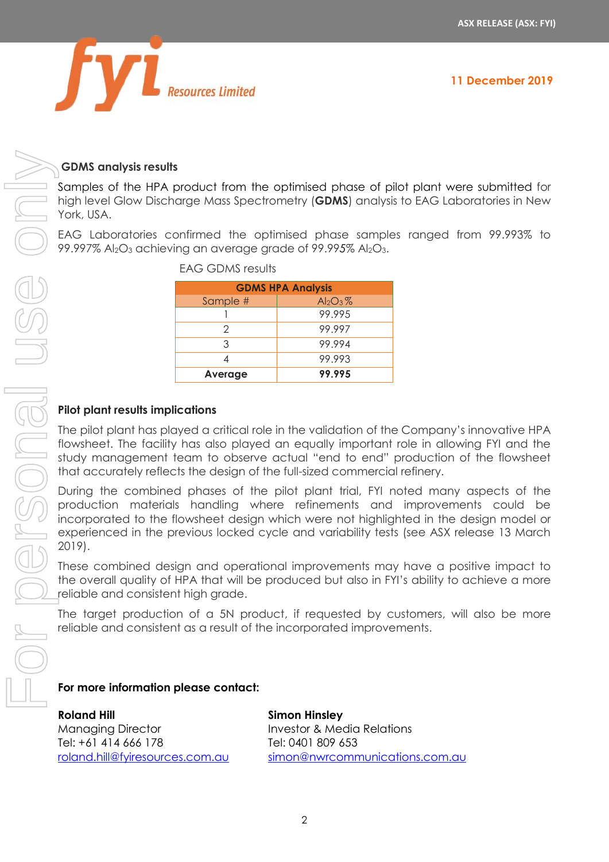

#### **GDMS analysis results**

Samples of the HPA product from the optimised phase of pilot plant were submitted for high level Glow Discharge Mass Spectrometry (**GDMS**) analysis to EAG Laboratories in New York, USA.

EAG Laboratories confirmed the optimised phase samples ranged from 99.993% to 99.997% Al2O<sup>3</sup> achieving an average grade of 99.99*5*% Al2O3.

| <b>GDMS HPA Analysis</b> |             |  |  |  |
|--------------------------|-------------|--|--|--|
| Sample #                 | $Al_2O_3\%$ |  |  |  |
|                          | 99.995      |  |  |  |
| 2                        | 99.997      |  |  |  |
| 3                        | 99.994      |  |  |  |
|                          | 99.993      |  |  |  |
| Average                  | 99.995      |  |  |  |

EAG GDMS results

## **Pilot plant results implications**

The pilot plant has played a critical role in the validation of the Company's innovative HPA flowsheet. The facility has also played an equally important role in allowing FYI and the study management team to observe actual "end to end" production of the flowsheet that accurately reflects the design of the full-sized commercial refinery.

During the combined phases of the pilot plant trial, FYI noted many aspects of the production materials handling where refinements and improvements could be incorporated to the flowsheet design which were not highlighted in the design model or experienced in the previous locked cycle and variability tests (see ASX release 13 March 2019).

These combined design and operational improvements may have a positive impact to the overall quality of HPA that will be produced but also in FYI's ability to achieve a more reliable and consistent high grade.

The target production of a 5N product, if requested by customers, will also be more reliable and consistent as a result of the incorporated improvements.

#### **For more information please contact:**

**Roland Hill** Managing Director Tel: +61 414 666 178 [roland.hill@fyiresources.com.au](mailto:roland.hill@fyiresources.com.au) **Simon Hinsley** Investor & Media Relations Tel: 0401 809 653 [simon@nwrcommunications.com.au](mailto:simon@nwrcommunications.com.au)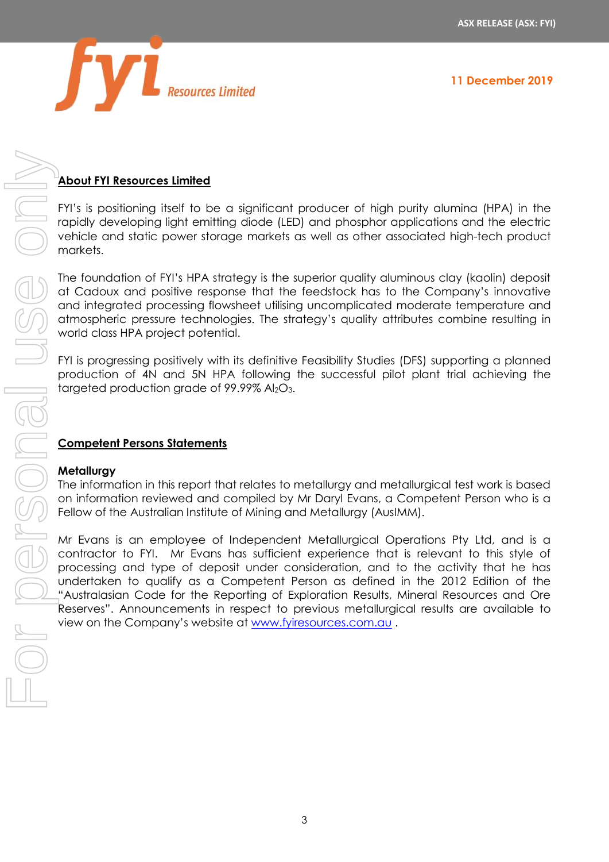

**11 December 2019**

# **About FYI Resources Limited**

FYI's is positioning itself to be a significant producer of high purity alumina (HPA) in the rapidly developing light emitting diode (LED) and phosphor applications and the electric vehicle and static power storage markets as well as other associated high-tech product markets.

The foundation of FYI's HPA strategy is the superior quality aluminous clay (kaolin) deposit at Cadoux and positive response that the feedstock has to the Company's innovative and integrated processing flowsheet utilising uncomplicated moderate temperature and atmospheric pressure technologies. The strategy's quality attributes combine resulting in world class HPA project potential.

FYI is progressing positively with its definitive Feasibility Studies (DFS) supporting a planned production of 4N and 5N HPA following the successful pilot plant trial achieving the targeted production grade of 99.99% Al<sub>2</sub>O<sub>3</sub>.

## **Competent Persons Statements**

#### **Metallurgy**

The information in this report that relates to metallurgy and metallurgical test work is based on information reviewed and compiled by Mr Daryl Evans, a Competent Person who is a Fellow of the Australian Institute of Mining and Metallurgy (AusIMM).

Mr Evans is an employee of Independent Metallurgical Operations Pty Ltd, and is a contractor to FYI. Mr Evans has sufficient experience that is relevant to this style of processing and type of deposit under consideration, and to the activity that he has undertaken to qualify as a Competent Person as defined in the 2012 Edition of the "Australasian Code for the Reporting of Exploration Results, Mineral Resources and Ore Reserves". Announcements in respect to previous metallurgical results are available to view on the Company's website at www.firesources.<br>
Notation of Fig. Here is a stable at the company of the company of the company of the company of the feature at the feature of the feature at the feature of the company of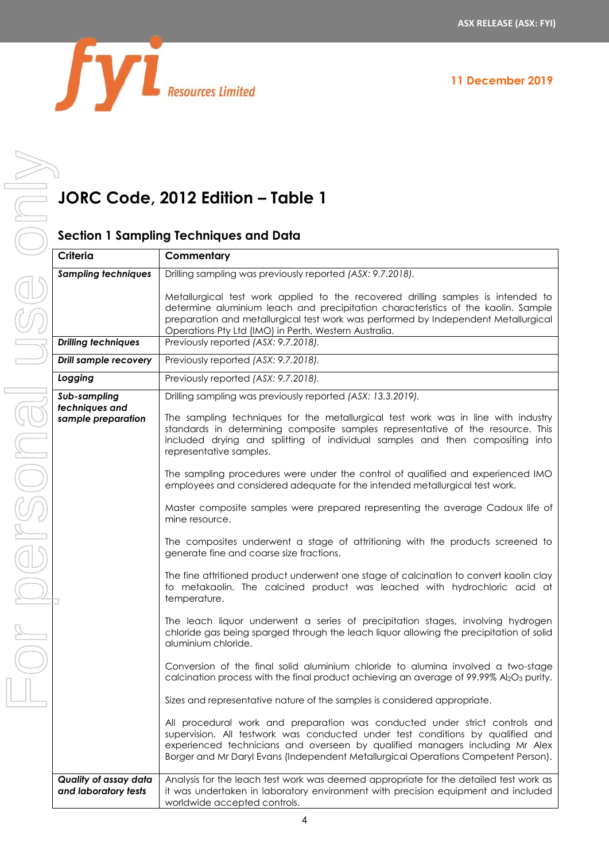

# **JORC Code, 2012 Edition – Table 1**

## **Section 1 Sampling Techniques and Data**

| Criteria                                                  | Commentary                                                                                                                                                                                                                                                                                                                                                                                                                                                                                                                                                                                                                                                                                                                                                                                                                                                                                                                                                                                                                                                                                                                                                                                                                                                                                                                                                                                                                                                                                                                                                                                                                                                                                                                                         |
|-----------------------------------------------------------|----------------------------------------------------------------------------------------------------------------------------------------------------------------------------------------------------------------------------------------------------------------------------------------------------------------------------------------------------------------------------------------------------------------------------------------------------------------------------------------------------------------------------------------------------------------------------------------------------------------------------------------------------------------------------------------------------------------------------------------------------------------------------------------------------------------------------------------------------------------------------------------------------------------------------------------------------------------------------------------------------------------------------------------------------------------------------------------------------------------------------------------------------------------------------------------------------------------------------------------------------------------------------------------------------------------------------------------------------------------------------------------------------------------------------------------------------------------------------------------------------------------------------------------------------------------------------------------------------------------------------------------------------------------------------------------------------------------------------------------------------|
| <b>Sampling techniques</b>                                | Drilling sampling was previously reported (ASX: 9.7.2018).                                                                                                                                                                                                                                                                                                                                                                                                                                                                                                                                                                                                                                                                                                                                                                                                                                                                                                                                                                                                                                                                                                                                                                                                                                                                                                                                                                                                                                                                                                                                                                                                                                                                                         |
|                                                           | Metallurgical test work applied to the recovered drilling samples is intended to<br>determine aluminium leach and precipitation characteristics of the kaolin. Sample<br>preparation and metallurgical test work was performed by Independent Metallurgical<br>Operations Pty Ltd (IMO) in Perth, Western Australia.                                                                                                                                                                                                                                                                                                                                                                                                                                                                                                                                                                                                                                                                                                                                                                                                                                                                                                                                                                                                                                                                                                                                                                                                                                                                                                                                                                                                                               |
| <b>Drilling techniques</b>                                | Previously reported (ASX: 9.7.2018).                                                                                                                                                                                                                                                                                                                                                                                                                                                                                                                                                                                                                                                                                                                                                                                                                                                                                                                                                                                                                                                                                                                                                                                                                                                                                                                                                                                                                                                                                                                                                                                                                                                                                                               |
| <b>Drill sample recovery</b>                              | Previously reported (ASX: 9.7.2018).                                                                                                                                                                                                                                                                                                                                                                                                                                                                                                                                                                                                                                                                                                                                                                                                                                                                                                                                                                                                                                                                                                                                                                                                                                                                                                                                                                                                                                                                                                                                                                                                                                                                                                               |
| Logging                                                   | Previously reported (ASX: 9.7.2018).                                                                                                                                                                                                                                                                                                                                                                                                                                                                                                                                                                                                                                                                                                                                                                                                                                                                                                                                                                                                                                                                                                                                                                                                                                                                                                                                                                                                                                                                                                                                                                                                                                                                                                               |
| Sub-sampling<br>techniques and<br>sample preparation<br>E | Drilling sampling was previously reported (ASX: 13.3.2019).<br>The sampling techniques for the metallurgical test work was in line with industry<br>standards in determining composite samples representative of the resource. This<br>included drying and splitting of individual samples and then compositing into<br>representative samples.<br>The sampling procedures were under the control of qualified and experienced IMO<br>employees and considered adequate for the intended metallurgical test work.<br>Master composite samples were prepared representing the average Cadoux life of<br>mine resource.<br>The composites underwent a stage of attritioning with the products screened to<br>generate fine and coarse size fractions.<br>The fine attritioned product underwent one stage of calcination to convert kaolin clay<br>to metakaolin. The calcined product was leached with hydrochloric acid at<br>temperature.<br>The leach liquor underwent a series of precipitation stages, involving hydrogen<br>chloride gas being sparged through the leach liquor allowing the precipitation of solid<br>aluminium chloride.<br>Conversion of the final solid aluminium chloride to alumina involved a two-stage<br>calcination process with the final product achieving an average of 99.99% Al2O3 purity.<br>Sizes and representative nature of the samples is considered appropriate.<br>All procedural work and preparation was conducted under strict controls and<br>supervision. All testwork was conducted under test conditions by qualified and<br>experienced technicians and overseen by qualified managers including Mr Alex<br>Borger and Mr Daryl Evans (Independent Metallurgical Operations Competent Person). |
|                                                           |                                                                                                                                                                                                                                                                                                                                                                                                                                                                                                                                                                                                                                                                                                                                                                                                                                                                                                                                                                                                                                                                                                                                                                                                                                                                                                                                                                                                                                                                                                                                                                                                                                                                                                                                                    |
| Quality of assay data<br>and laboratory tests             | Analysis for the leach test work was deemed appropriate for the detailed test work as<br>it was undertaken in laboratory environment with precision equipment and included<br>worldwide accepted controls.                                                                                                                                                                                                                                                                                                                                                                                                                                                                                                                                                                                                                                                                                                                                                                                                                                                                                                                                                                                                                                                                                                                                                                                                                                                                                                                                                                                                                                                                                                                                         |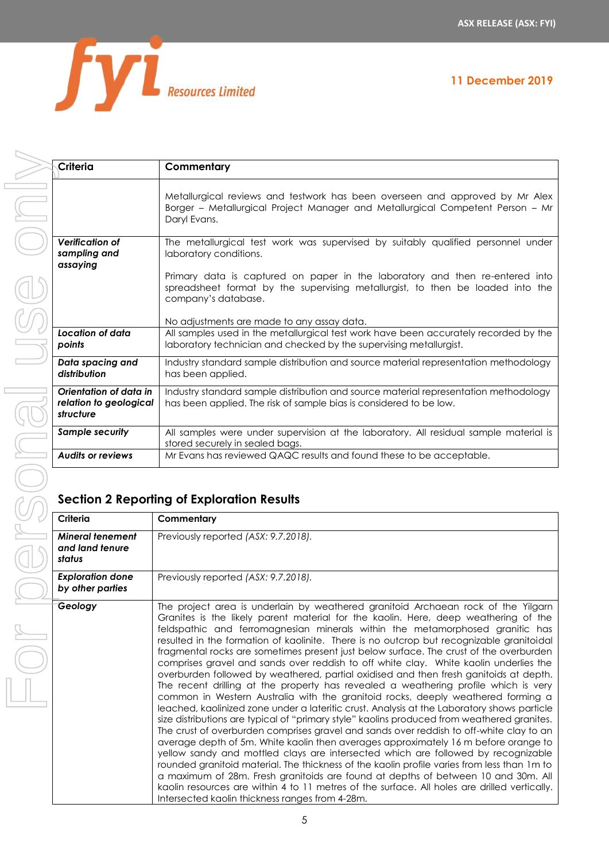**11 December 2019**



USG ONN For personal use only

| Criteria                                                      | Commentary                                                                                                                                                                            |
|---------------------------------------------------------------|---------------------------------------------------------------------------------------------------------------------------------------------------------------------------------------|
|                                                               | Metallurgical reviews and testwork has been overseen and approved by Mr Alex<br>Borger - Metallurgical Project Manager and Metallurgical Competent Person - Mr<br>Daryl Evans.        |
| <b>Verification of</b><br>sampling and<br>assaying            | The metallurgical test work was supervised by suitably qualified personnel under<br>laboratory conditions.                                                                            |
|                                                               | Primary data is captured on paper in the laboratory and then re-entered into<br>spreadsheet format by the supervising metallurgist, to then be loaded into the<br>company's database. |
|                                                               | No adjustments are made to any assay data.                                                                                                                                            |
| Location of data<br>points                                    | All samples used in the metallurgical test work have been accurately recorded by the<br>laboratory technician and checked by the supervising metallurgist.                            |
| Data spacing and<br>distribution                              | Industry standard sample distribution and source material representation methodology<br>has been applied.                                                                             |
| Orientation of data in<br>relation to geological<br>structure | Industry standard sample distribution and source material representation methodology<br>has been applied. The risk of sample bias is considered to be low.                            |
| <b>Sample security</b>                                        | All samples were under supervision at the laboratory. All residual sample material is<br>stored securely in sealed bags.                                                              |
| <b>Audits or reviews</b>                                      | Mr Evans has reviewed QAQC results and found these to be acceptable.                                                                                                                  |

| distribution                                                  | has been applied.                                                                                                                                                                                                                                                                                                                                                                                                                                                                                                                                                                                                                                                                                                                                                                                                                                                                                                                                                                                                                                                                                                                                                                                                                                                                                                                                                                                                                                                                                                                                                                                                        |  |
|---------------------------------------------------------------|--------------------------------------------------------------------------------------------------------------------------------------------------------------------------------------------------------------------------------------------------------------------------------------------------------------------------------------------------------------------------------------------------------------------------------------------------------------------------------------------------------------------------------------------------------------------------------------------------------------------------------------------------------------------------------------------------------------------------------------------------------------------------------------------------------------------------------------------------------------------------------------------------------------------------------------------------------------------------------------------------------------------------------------------------------------------------------------------------------------------------------------------------------------------------------------------------------------------------------------------------------------------------------------------------------------------------------------------------------------------------------------------------------------------------------------------------------------------------------------------------------------------------------------------------------------------------------------------------------------------------|--|
| Orientation of data in<br>relation to geological<br>structure | Industry standard sample distribution and source material representation methodology<br>has been applied. The risk of sample bias is considered to be low.                                                                                                                                                                                                                                                                                                                                                                                                                                                                                                                                                                                                                                                                                                                                                                                                                                                                                                                                                                                                                                                                                                                                                                                                                                                                                                                                                                                                                                                               |  |
| <b>Sample security</b>                                        | All samples were under supervision at the laboratory. All residual sample material is<br>stored securely in sealed bags.                                                                                                                                                                                                                                                                                                                                                                                                                                                                                                                                                                                                                                                                                                                                                                                                                                                                                                                                                                                                                                                                                                                                                                                                                                                                                                                                                                                                                                                                                                 |  |
| <b>Audits or reviews</b>                                      | Mr Evans has reviewed QAQC results and found these to be acceptable.                                                                                                                                                                                                                                                                                                                                                                                                                                                                                                                                                                                                                                                                                                                                                                                                                                                                                                                                                                                                                                                                                                                                                                                                                                                                                                                                                                                                                                                                                                                                                     |  |
| <b>Section 2 Reporting of Exploration Results</b><br>Criteria |                                                                                                                                                                                                                                                                                                                                                                                                                                                                                                                                                                                                                                                                                                                                                                                                                                                                                                                                                                                                                                                                                                                                                                                                                                                                                                                                                                                                                                                                                                                                                                                                                          |  |
|                                                               | Commentary                                                                                                                                                                                                                                                                                                                                                                                                                                                                                                                                                                                                                                                                                                                                                                                                                                                                                                                                                                                                                                                                                                                                                                                                                                                                                                                                                                                                                                                                                                                                                                                                               |  |
| <b>Mineral tenement</b><br>and land tenure<br>status          | Previously reported (ASX: 9.7.2018).                                                                                                                                                                                                                                                                                                                                                                                                                                                                                                                                                                                                                                                                                                                                                                                                                                                                                                                                                                                                                                                                                                                                                                                                                                                                                                                                                                                                                                                                                                                                                                                     |  |
| <b>Exploration done</b><br>by other parties                   | Previously reported (ASX: 9.7.2018).                                                                                                                                                                                                                                                                                                                                                                                                                                                                                                                                                                                                                                                                                                                                                                                                                                                                                                                                                                                                                                                                                                                                                                                                                                                                                                                                                                                                                                                                                                                                                                                     |  |
| Geology                                                       | The project area is underlain by weathered granitoid Archaean rock of the Yilgarn<br>Granites is the likely parent material for the kaolin. Here, deep weathering of the<br>feldspathic and ferromagnesian minerals within the metamorphosed granitic has<br>resulted in the formation of kaolinite. There is no outcrop but recognizable granitoidal<br>fragmental rocks are sometimes present just below surface. The crust of the overburden<br>comprises gravel and sands over reddish to off white clay. White kaolin underlies the<br>overburden followed by weathered, partial oxidised and then fresh ganitoids at depth.<br>The recent drilling at the property has revealed a weathering profile which is very<br>common in Western Australia with the granitoid rocks, deeply weathered forming a<br>leached, kaolinized zone under a lateritic crust. Analysis at the Laboratory shows particle<br>size distributions are typical of "primary style" kaolins produced from weathered granites.<br>The crust of overburden comprises gravel and sands over reddish to off-white clay to an<br>average depth of 5m. White kaolin then averages approximately 16 m before orange to<br>yellow sandy and mottled clays are intersected which are followed by recognizable<br>rounded granitoid material. The thickness of the kaolin profile varies from less than 1m to<br>a maximum of 28m. Fresh granitoids are found at depths of between 10 and 30m. All<br>kaolin resources are within 4 to 11 metres of the surface. All holes are drilled vertically.<br>Intersected kaolin thickness ranges from 4-28m. |  |